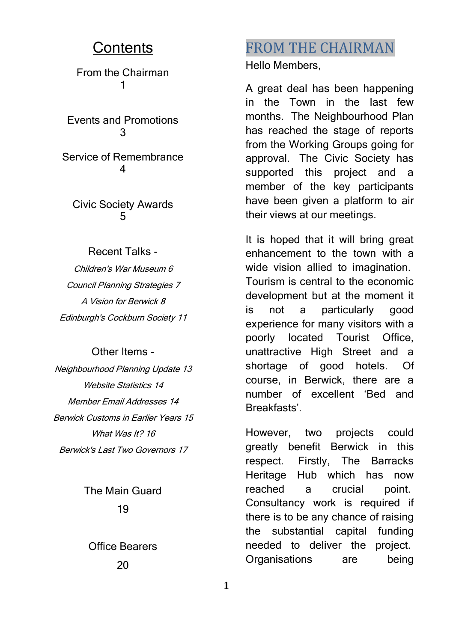#### **Contents**

From the Chairman 1

Events and Promotions 3

Service of Remembrance 4

Civic Society Awards **б** 

Recent Talks - Children's War Museum 6 Council Planning Strategies 7 A Vision for Berwick 8 Edinburgh's Cockburn Society 11

#### Other Items -

Neighbourhood Planning Update 13 Website Statistics 14 Member Email Addresses 14 Berwick Customs in Earlier Years 15 What Was It? 16 Berwick's Last Two Governors 17

> The Main Guard 19

Office Bearers 20

### FROM THE CHAIRMAN

Hello Members,

A great deal has been happening in the Town in the last few months. The Neighbourhood Plan has reached the stage of reports from the Working Groups going for approval. The Civic Society has supported this project and a member of the key participants have been given a platform to air their views at our meetings.

It is hoped that it will bring great enhancement to the town with a wide vision allied to imagination. Tourism is central to the economic development but at the moment it is not a particularly good experience for many visitors with a poorly located Tourist Office, unattractive High Street and a shortage of good hotels. Of course, in Berwick, there are a number of excellent 'Bed and Breakfasts'.

However, two projects could greatly benefit Berwick in this respect. Firstly, The Barracks Heritage Hub which has now reached a crucial point. Consultancy work is required if there is to be any chance of raising the substantial capital funding needed to deliver the project. Organisations are being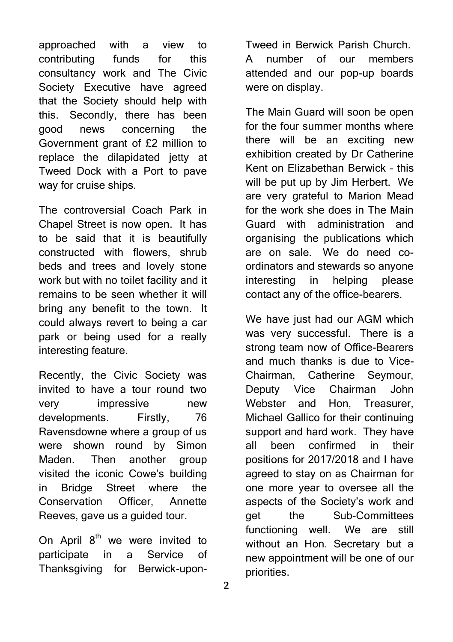approached with a view to contributing funds for this consultancy work and The Civic Society Executive have agreed that the Society should help with this. Secondly, there has been good news concerning the Government grant of £2 million to replace the dilapidated jetty at Tweed Dock with a Port to pave way for cruise ships.

The controversial Coach Park in Chapel Street is now open. It has to be said that it is beautifully constructed with flowers, shrub beds and trees and lovely stone work but with no toilet facility and it remains to be seen whether it will bring any benefit to the town. It could always revert to being a car park or being used for a really interesting feature.

Recently, the Civic Society was invited to have a tour round two very impressive new developments. Firstly, 76 Ravensdowne where a group of us were shown round by Simon Maden. Then another group visited the iconic Cowe's building in Bridge Street where the Conservation Officer, Annette Reeves, gave us a guided tour.

On April  $8<sup>th</sup>$  we were invited to participate in a Service of Thanksgiving for Berwick-uponTweed in Berwick Parish Church. A number of our members attended and our pop-up boards were on display.

The Main Guard will soon be open for the four summer months where there will be an exciting new exhibition created by Dr Catherine Kent on Elizabethan Berwick – this will be put up by Jim Herbert. We are very grateful to Marion Mead for the work she does in The Main Guard with administration and organising the publications which are on sale. We do need coordinators and stewards so anyone interesting in helping please contact any of the office-bearers.

We have just had our AGM which was very successful. There is a strong team now of Office-Bearers and much thanks is due to Vice-Chairman, Catherine Seymour, Deputy Vice Chairman John Webster and Hon, Treasurer, Michael Gallico for their continuing support and hard work. They have all been confirmed in their positions for 2017/2018 and I have agreed to stay on as Chairman for one more year to oversee all the aspects of the Society's work and get the Sub-Committees functioning well. We are still without an Hon. Secretary but a new appointment will be one of our priorities.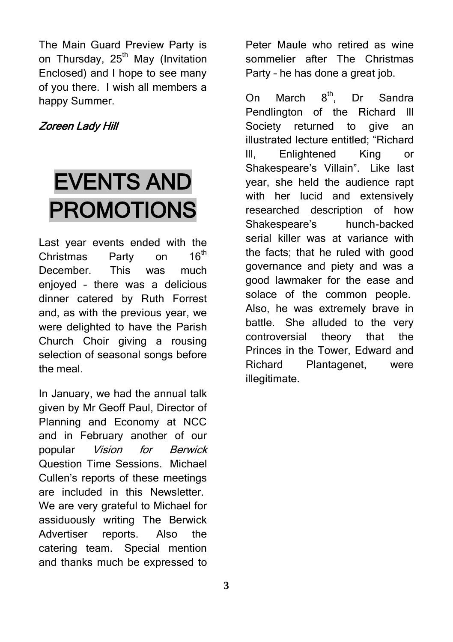The Main Guard Preview Party is on Thursday, 25<sup>th</sup> May (Invitation Enclosed) and I hope to see many of you there. I wish all members a happy Summer.

#### Zoreen Lady Hill

# EVENTS AND PROMOTIONS

Last year events ended with the Christmas Party on 16<sup>th</sup> December. This was much enjoyed – there was a delicious dinner catered by Ruth Forrest and, as with the previous year, we were delighted to have the Parish Church Choir giving a rousing selection of seasonal songs before the meal.

In January, we had the annual talk given by Mr Geoff Paul, Director of Planning and Economy at NCC and in February another of our popular Vision for Berwick Question Time Sessions. Michael Cullen's reports of these meetings are included in this Newsletter. We are very grateful to Michael for assiduously writing The Berwick Advertiser reports. Also the catering team. Special mention and thanks much be expressed to

Peter Maule who retired as wine sommelier after The Christmas Party – he has done a great job.

On March  $8<sup>th</sup>$ . Dr Sandra Pendlington of the Richard lll Society returned to give an illustrated lecture entitled; "Richard lll, Enlightened King or Shakespeare's Villain". Like last year, she held the audience rapt with her lucid and extensively researched description of how Shakespeare's hunch-backed serial killer was at variance with the facts; that he ruled with good governance and piety and was a good lawmaker for the ease and solace of the common people. Also, he was extremely brave in battle. She alluded to the very controversial theory that the Princes in the Tower, Edward and Richard Plantagenet, were illegitimate.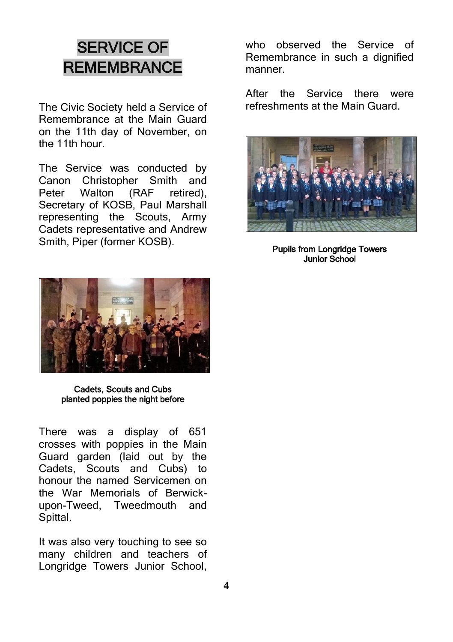### SERVICE OF **REMEMBRANCE**

The Civic Society held a Service of Remembrance at the Main Guard on the 11th day of November, on the 11th hour.

The Service was conducted by Canon Christopher Smith and<br>Peter Walton (RAF retired), Peter Walton (RAF retired), Secretary of KOSB, Paul Marshall representing the Scouts, Army Cadets representative and Andrew Smith, Piper (former KOSB).

who observed the Service of Remembrance in such a dignified manner.

After the Service there were refreshments at the Main Guard.



Pupils from Longridge Towers Junior School



Cadets, Scouts and Cubs planted poppies the night before

There was a display of 651 crosses with poppies in the Main Guard garden (laid out by the Cadets, Scouts and Cubs) to honour the named Servicemen on the War Memorials of Berwickupon-Tweed, Tweedmouth and Spittal.

It was also very touching to see so many children and teachers of Longridge Towers Junior School,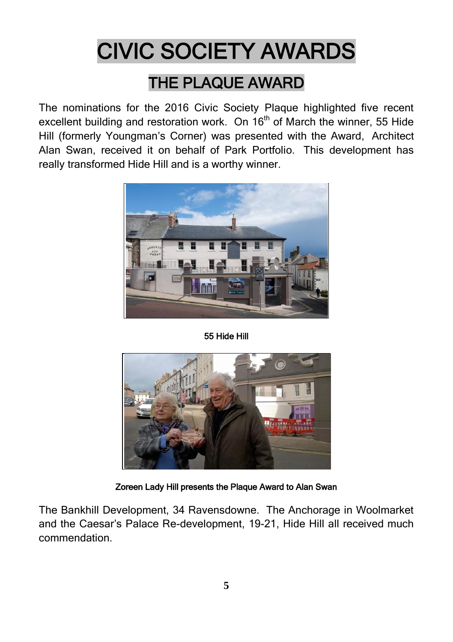# CIVIC SOCIETY AWARDS

### THE PLAQUE AWARD

The nominations for the 2016 Civic Society Plaque highlighted five recent excellent building and restoration work. On  $16<sup>th</sup>$  of March the winner, 55 Hide Hill (formerly Youngman's Corner) was presented with the Award, Architect Alan Swan, received it on behalf of Park Portfolio. This development has really transformed Hide Hill and is a worthy winner.



55 Hide Hill



Zoreen Lady Hill presents the Plaque Award to Alan Swan

The Bankhill Development, 34 Ravensdowne. The Anchorage in Woolmarket and the Caesar's Palace Re-development, 19-21, Hide Hill all received much commendation.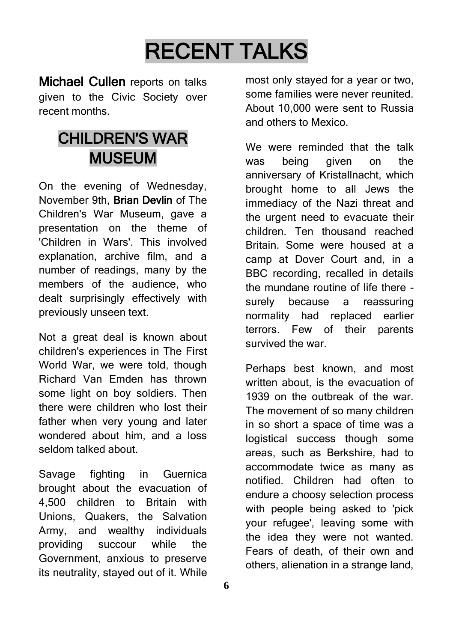# RECENT TALKS

Michael Cullen reports on talks given to the Civic Society over recent months.

## CHILDREN'S WAR MUSEUM

On the evening of Wednesday, November 9th, Brian Devlin of The Children's War Museum, gave a presentation on the theme of 'Children in Wars'. This involved explanation, archive film, and a number of readings, many by the members of the audience, who dealt surprisingly effectively with previously unseen text.

Not a great deal is known about children's experiences in The First World War, we were told, though Richard Van Emden has thrown some light on boy soldiers. Then there were children who lost their father when very young and later wondered about him, and a loss seldom talked about.

Savage fighting in Guernica brought about the evacuation of 4,500 children to Britain with Unions, Quakers, the Salvation Army, and wealthy individuals providing succour while the Government, anxious to preserve its neutrality, stayed out of it. While

most only stayed for a year or two, some families were never reunited. About 10,000 were sent to Russia and others to Mexico.

We were reminded that the talk was being given on the anniversary of Kristallnacht, which brought home to all Jews the immediacy of the Nazi threat and the urgent need to evacuate their children. Ten thousand reached Britain. Some were housed at a camp at Dover Court and, in a BBC recording, recalled in details the mundane routine of life there surely because a reassuring normality had replaced earlier terrors. Few of their parents survived the war.

Perhaps best known, and most written about, is the evacuation of 1939 on the outbreak of the war. The movement of so many children in so short a space of time was a logistical success though some areas, such as Berkshire, had to accommodate twice as many as notified. Children had often to endure a choosy selection process with people being asked to 'pick your refugee', leaving some with the idea they were not wanted. Fears of death, of their own and others, alienation in a strange land,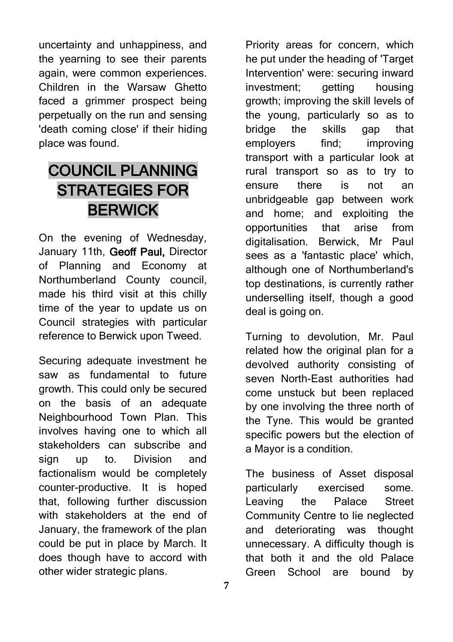uncertainty and unhappiness, and the yearning to see their parents again, were common experiences. Children in the Warsaw Ghetto faced a grimmer prospect being perpetually on the run and sensing 'death coming close' if their hiding place was found.

### COUNCIL PLANNING STRATEGIES FOR BERWICK

On the evening of Wednesday, January 11th, Geoff Paul, Director of Planning and Economy at Northumberland County council, made his third visit at this chilly time of the year to update us on Council strategies with particular reference to Berwick upon Tweed.

Securing adequate investment he saw as fundamental to future growth. This could only be secured on the basis of an adequate Neighbourhood Town Plan. This involves having one to which all stakeholders can subscribe and sign up to. Division and factionalism would be completely counter-productive. It is hoped that, following further discussion with stakeholders at the end of January, the framework of the plan could be put in place by March. It does though have to accord with other wider strategic plans.

Priority areas for concern, which he put under the heading of 'Target Intervention' were: securing inward investment; getting housing growth; improving the skill levels of the young, particularly so as to bridge the skills gap that employers find; improving transport with a particular look at rural transport so as to try to ensure there is not an unbridgeable gap between work and home; and exploiting the opportunities that arise from digitalisation. Berwick, Mr Paul sees as a 'fantastic place' which, although one of Northumberland's top destinations, is currently rather underselling itself, though a good deal is going on.

Turning to devolution, Mr. Paul related how the original plan for a devolved authority consisting of seven North-East authorities had come unstuck but been replaced by one involving the three north of the Tyne. This would be granted specific powers but the election of a Mayor is a condition.

The business of Asset disposal particularly exercised some. Leaving the Palace Street Community Centre to lie neglected and deteriorating was thought unnecessary. A difficulty though is that both it and the old Palace Green School are bound by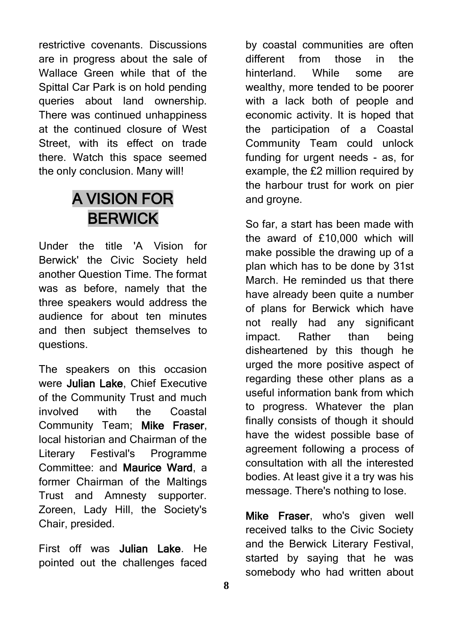restrictive covenants. Discussions are in progress about the sale of Wallace Green while that of the Spittal Car Park is on hold pending queries about land ownership. There was continued unhappiness at the continued closure of West Street, with its effect on trade there. Watch this space seemed the only conclusion. Many will!

### A VISION FOR BERWICK

Under the title 'A Vision for Berwick' the Civic Society held another Question Time. The format was as before, namely that the three speakers would address the audience for about ten minutes and then subject themselves to questions.

The speakers on this occasion were Julian Lake, Chief Executive of the Community Trust and much involved with the Coastal Community Team; Mike Fraser, local historian and Chairman of the Literary Festival's Programme Committee: and Maurice Ward, a former Chairman of the Maltings Trust and Amnesty supporter. Zoreen, Lady Hill, the Society's Chair, presided.

First off was Julian Lake. He pointed out the challenges faced

by coastal communities are often different from those in the hinterland. While some are wealthy, more tended to be poorer with a lack both of people and economic activity. It is hoped that the participation of a Coastal Community Team could unlock funding for urgent needs - as, for example, the £2 million required by the harbour trust for work on pier and groyne.

So far, a start has been made with the award of £10,000 which will make possible the drawing up of a plan which has to be done by 31st March. He reminded us that there have already been quite a number of plans for Berwick which have not really had any significant impact. Rather than being disheartened by this though he urged the more positive aspect of regarding these other plans as a useful information bank from which to progress. Whatever the plan finally consists of though it should have the widest possible base of agreement following a process of consultation with all the interested bodies. At least give it a try was his message. There's nothing to lose.

Mike Fraser, who's given well received talks to the Civic Society and the Berwick Literary Festival, started by saying that he was somebody who had written about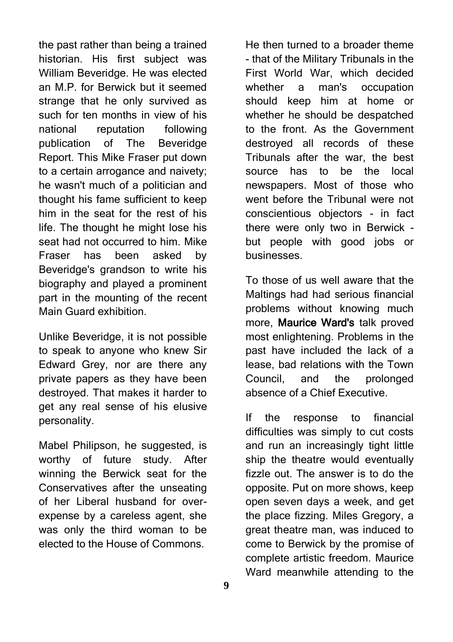the past rather than being a trained historian. His first subject was William Beveridge. He was elected an M.P. for Berwick but it seemed strange that he only survived as such for ten months in view of his national reputation following publication of The Beveridge Report. This Mike Fraser put down to a certain arrogance and naivety; he wasn't much of a politician and thought his fame sufficient to keep him in the seat for the rest of his life. The thought he might lose his seat had not occurred to him. Mike Fraser has been asked by Beveridge's grandson to write his biography and played a prominent part in the mounting of the recent Main Guard exhibition.

Unlike Beveridge, it is not possible to speak to anyone who knew Sir Edward Grey, nor are there any private papers as they have been destroyed. That makes it harder to get any real sense of his elusive personality.

Mabel Philipson, he suggested, is worthy of future study. After winning the Berwick seat for the Conservatives after the unseating of her Liberal husband for overexpense by a careless agent, she was only the third woman to be elected to the House of Commons.

He then turned to a broader theme - that of the Military Tribunals in the First World War, which decided whether a man's occupation should keep him at home or whether he should be despatched to the front. As the Government destroyed all records of these Tribunals after the war, the best source has to be the local newspapers. Most of those who went before the Tribunal were not conscientious objectors - in fact there were only two in Berwick but people with good jobs or businesses.

To those of us well aware that the Maltings had had serious financial problems without knowing much more, Maurice Ward's talk proved most enlightening. Problems in the past have included the lack of a lease, bad relations with the Town Council, and the prolonged absence of a Chief Executive.

If the response to financial difficulties was simply to cut costs and run an increasingly tight little ship the theatre would eventually fizzle out. The answer is to do the opposite. Put on more shows, keep open seven days a week, and get the place fizzing. Miles Gregory, a great theatre man, was induced to come to Berwick by the promise of complete artistic freedom. Maurice Ward meanwhile attending to the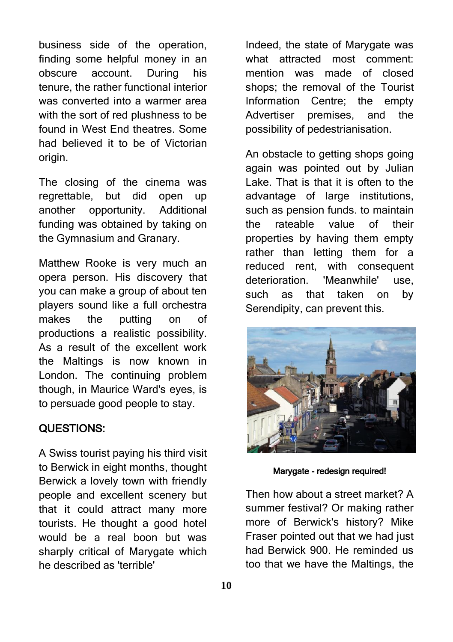business side of the operation, finding some helpful money in an obscure account. During his tenure, the rather functional interior was converted into a warmer area with the sort of red plushness to be found in West End theatres. Some had believed it to be of Victorian origin.

The closing of the cinema was regrettable, but did open up another opportunity. Additional funding was obtained by taking on the Gymnasium and Granary.

Matthew Rooke is very much an opera person. His discovery that you can make a group of about ten players sound like a full orchestra makes the putting on of productions a realistic possibility. As a result of the excellent work the Maltings is now known in London. The continuing problem though, in Maurice Ward's eyes, is to persuade good people to stay.

#### QUESTIONS:

A Swiss tourist paying his third visit to Berwick in eight months, thought Berwick a lovely town with friendly people and excellent scenery but that it could attract many more tourists. He thought a good hotel would be a real boon but was sharply critical of Marygate which he described as 'terrible'

Indeed, the state of Marygate was what attracted most comment: mention was made of closed shops; the removal of the Tourist Information Centre; the empty Advertiser premises, and the possibility of pedestrianisation.

An obstacle to getting shops going again was pointed out by Julian Lake. That is that it is often to the advantage of large institutions, such as pension funds. to maintain the rateable value of their properties by having them empty rather than letting them for a reduced rent, with consequent deterioration. 'Meanwhile' use, such as that taken on by Serendipity, can prevent this.



Marygate - redesign required!

Then how about a street market? A summer festival? Or making rather more of Berwick's history? Mike Fraser pointed out that we had just had Berwick 900. He reminded us too that we have the Maltings, the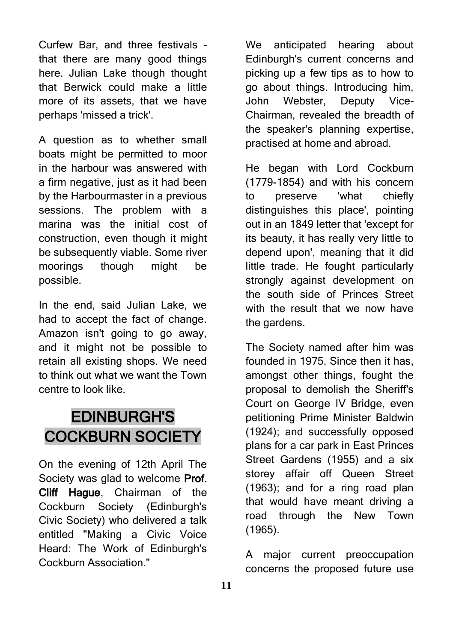Curfew Bar, and three festivals that there are many good things here. Julian Lake though thought that Berwick could make a little more of its assets, that we have perhaps 'missed a trick'.

A question as to whether small boats might be permitted to moor in the harbour was answered with a firm negative, just as it had been by the Harbourmaster in a previous sessions. The problem with a marina was the initial cost of construction, even though it might be subsequently viable. Some river moorings though might be possible.

In the end, said Julian Lake, we had to accept the fact of change. Amazon isn't going to go away, and it might not be possible to retain all existing shops. We need to think out what we want the Town centre to look like.

### EDINBURGH'S COCKBURN SOCIETY

On the evening of 12th April The Society was glad to welcome Prof. Cliff Haque, Chairman of the Cockburn Society (Edinburgh's Civic Society) who delivered a talk entitled "Making a Civic Voice Heard: The Work of Edinburgh's Cockburn Association."

We anticipated hearing about Edinburgh's current concerns and picking up a few tips as to how to go about things. Introducing him, John Webster, Deputy Vice-Chairman, revealed the breadth of the speaker's planning expertise, practised at home and abroad.

He began with Lord Cockburn (1779-1854) and with his concern to preserve 'what chiefly distinguishes this place', pointing out in an 1849 letter that 'except for its beauty, it has really very little to depend upon', meaning that it did little trade. He fought particularly strongly against development on the south side of Princes Street with the result that we now have the gardens.

The Society named after him was founded in 1975. Since then it has, amongst other things, fought the proposal to demolish the Sheriff's Court on George IV Bridge, even petitioning Prime Minister Baldwin (1924); and successfully opposed plans for a car park in East Princes Street Gardens (1955) and a six storey affair off Queen Street (1963); and for a ring road plan that would have meant driving a road through the New Town (1965).

A major current preoccupation concerns the proposed future use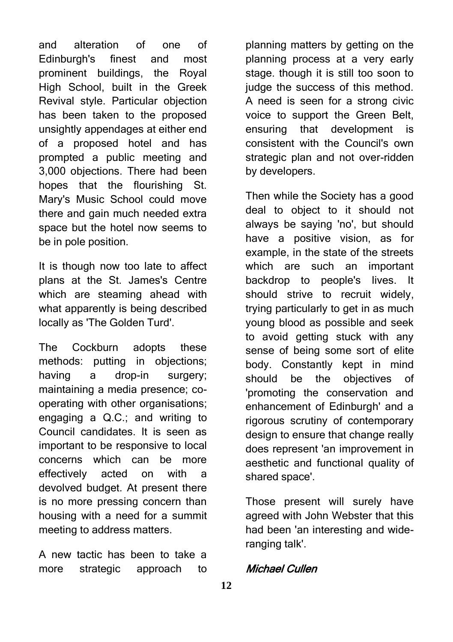and alteration of one of Edinburgh's finest and most prominent buildings, the Royal High School, built in the Greek Revival style. Particular objection has been taken to the proposed unsightly appendages at either end of a proposed hotel and has prompted a public meeting and 3,000 objections. There had been hopes that the flourishing St. Mary's Music School could move there and gain much needed extra space but the hotel now seems to be in pole position.

It is though now too late to affect plans at the St. James's Centre which are steaming ahead with what apparently is being described locally as 'The Golden Turd'.

The Cockburn adopts these methods: putting in objections; having a drop-in surgery; maintaining a media presence; cooperating with other organisations; engaging a Q.C.; and writing to Council candidates. It is seen as important to be responsive to local concerns which can be more effectively acted on with a devolved budget. At present there is no more pressing concern than housing with a need for a summit meeting to address matters.

A new tactic has been to take a more strategic approach to

planning matters by getting on the planning process at a very early stage. though it is still too soon to judge the success of this method. A need is seen for a strong civic voice to support the Green Belt, ensuring that development is consistent with the Council's own strategic plan and not over-ridden by developers.

Then while the Society has a good deal to object to it should not always be saying 'no', but should have a positive vision, as for example, in the state of the streets which are such an important backdrop to people's lives. It should strive to recruit widely, trying particularly to get in as much young blood as possible and seek to avoid getting stuck with any sense of being some sort of elite body. Constantly kept in mind should be the objectives of 'promoting the conservation and enhancement of Edinburgh' and a rigorous scrutiny of contemporary design to ensure that change really does represent 'an improvement in aesthetic and functional quality of shared space'.

Those present will surely have agreed with John Webster that this had been 'an interesting and wideranging talk'.

#### Michael Cullen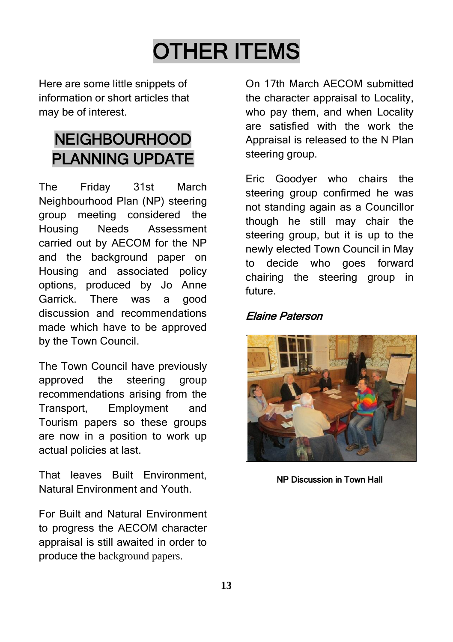# OTHER ITEMS

Here are some little snippets of information or short articles that may be of interest.

# NEIGHBOURHOOD PLANNING UPDATE

The Friday 31st March Neighbourhood Plan (NP) steering group meeting considered the Housing Needs Assessment carried out by AECOM for the NP and the background paper on Housing and associated policy options, produced by Jo Anne Garrick. There was a good discussion and recommendations made which have to be approved by the Town Council.

The Town Council have previously approved the steering group recommendations arising from the Transport, Employment and Tourism papers so these groups are now in a position to work up actual policies at last.

That leaves Built Environment, Natural Environment and Youth.

For Built and Natural Environment to progress the AECOM character appraisal is still awaited in order to produce the background papers.

On 17th March AECOM submitted the character appraisal to Locality, who pay them, and when Locality are satisfied with the work the Appraisal is released to the N Plan steering group.

Eric Goodyer who chairs the steering group confirmed he was not standing again as a Councillor though he still may chair the steering group, but it is up to the newly elected Town Council in May to decide who goes forward chairing the steering group in future.

#### Elaine Paterson



NP Discussion in Town Hall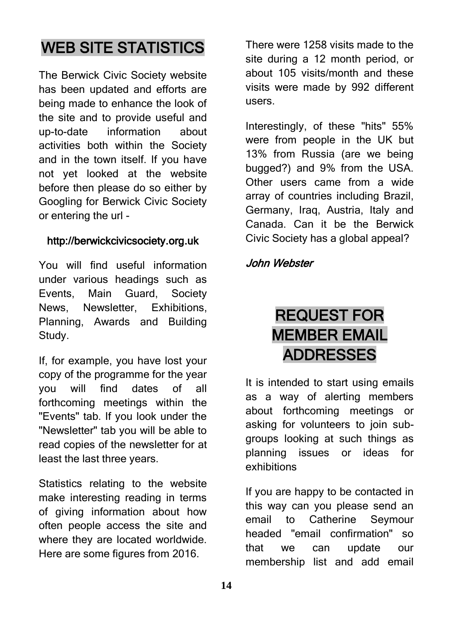### WEB SITE STATISTICS

The Berwick Civic Society website has been updated and efforts are being made to enhance the look of the site and to provide useful and up-to-date information about activities both within the Society and in the town itself. If you have not yet looked at the website before then please do so either by Googling for Berwick Civic Society or entering the url -

#### http://berwickcivicsociety.org.uk

You will find useful information under various headings such as Events, Main Guard, Society News, Newsletter, Exhibitions, Planning, Awards and Building Study.

If, for example, you have lost your copy of the programme for the year you will find dates of all forthcoming meetings within the "Events" tab. If you look under the "Newsletter" tab you will be able to read copies of the newsletter for at least the last three years.

Statistics relating to the website make interesting reading in terms of giving information about how often people access the site and where they are located worldwide. Here are some figures from 2016.

There were 1258 visits made to the site during a 12 month period, or about 105 visits/month and these visits were made by 992 different users.

Interestingly, of these "hits" 55% were from people in the UK but 13% from Russia (are we being bugged?) and 9% from the USA. Other users came from a wide array of countries including Brazil, Germany, Iraq, Austria, Italy and Canada. Can it be the Berwick Civic Society has a global appeal?

#### John Webster

## REQUEST FOR MEMBER EMAIL ADDRESSES

It is intended to start using emails as a way of alerting members about forthcoming meetings or asking for volunteers to join subgroups looking at such things as planning issues or ideas for exhibitions

If you are happy to be contacted in this way can you please send an email to Catherine Seymour headed "email confirmation" so that we can update our membership list and add email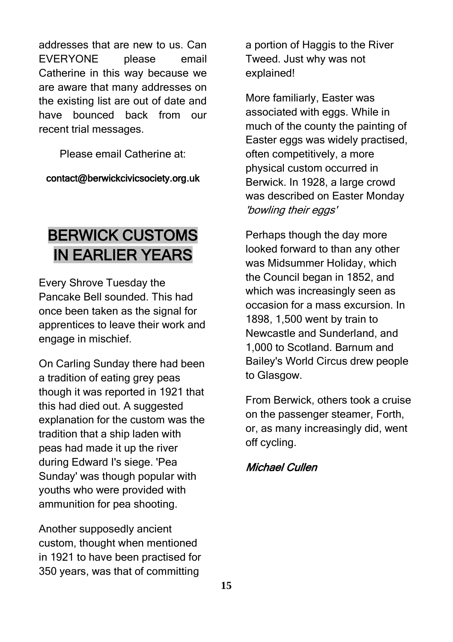addresses that are new to us. Can EVERYONE please email Catherine in this way because we are aware that many addresses on the existing list are out of date and have bounced back from our recent trial messages.

Please email Catherine at:

contact@berwickcivicsociety.org.uk

## BERWICK CUSTOMS IN EARLIER YEARS

Every Shrove Tuesday the Pancake Bell sounded. This had once been taken as the signal for apprentices to leave their work and engage in mischief.

On Carling Sunday there had been a tradition of eating grey peas though it was reported in 1921 that this had died out. A suggested explanation for the custom was the tradition that a ship laden with peas had made it up the river during Edward I's siege. 'Pea Sunday' was though popular with youths who were provided with ammunition for pea shooting.

Another supposedly ancient custom, thought when mentioned in 1921 to have been practised for 350 years, was that of committing

a portion of Haggis to the River Tweed. Just why was not explained!

More familiarly, Easter was associated with eggs. While in much of the county the painting of Easter eggs was widely practised, often competitively, a more physical custom occurred in Berwick. In 1928, a large crowd was described on Easter Monday 'bowling their eggs'

Perhaps though the day more looked forward to than any other was Midsummer Holiday, which the Council began in 1852, and which was increasingly seen as occasion for a mass excursion. In 1898, 1,500 went by train to Newcastle and Sunderland, and 1,000 to Scotland. Barnum and Bailey's World Circus drew people to Glasgow.

From Berwick, others took a cruise on the passenger steamer, Forth, or, as many increasingly did, went off cycling.

#### Michael Cullen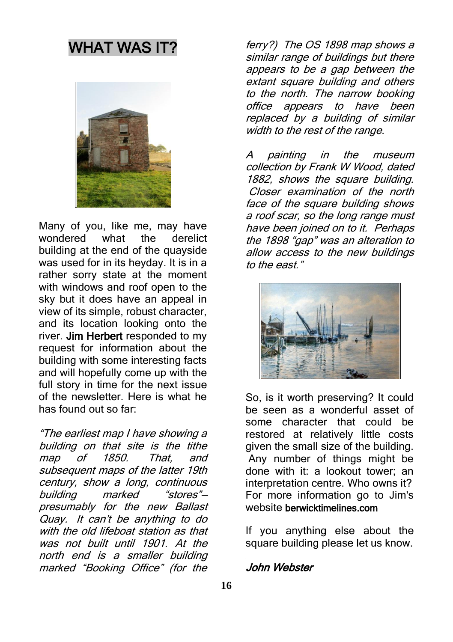### WHAT WAS IT?



Many of you, like me, may have wondered what the derelict building at the end of the quayside was used for in its heyday. It is in a rather sorry state at the moment with windows and roof open to the sky but it does have an appeal in view of its simple, robust character, and its location looking onto the river. Jim Herbert responded to my request for information about the building with some interesting facts and will hopefully come up with the full story in time for the next issue of the newsletter. Here is what he has found out so far:

"The earliest map I have showing a building on that site is the tithe map of 1850. That, and subsequent maps of the latter 19th century, show a long, continuous building marked "stores" presumably for the new Ballast Quay. It can't be anything to d<sup>o</sup> with the old lifeboat station as that was not built until 1901. At the north end is a smaller building marked "Booking Office" (for the

ferry?) The OS 1898 map shows a similar range of buildings but there appears to be a gap between the extant square building and others to the north. The narrow booking office appears to have been replaced by a building of similar width to the rest of the range.

A painting in the museum collection by Frank W Wood, dated 1882, shows the square building. Closer examination of the north face of the square building shows a roof scar, so the long range must have been joined on to it. Perhaps the 1898 "gap" was an alteration to allow access to the new buildings to the east."



So, is it worth preserving? It could be seen as a wonderful asset of some character that could be restored at relatively little costs given the small size of the building. Any number of things might be done with it: a lookout tower; an interpretation centre. Who owns it? For more information go to Jim's website berwicktimelines.com

If you anything else about the square building please let us know.

#### John Webster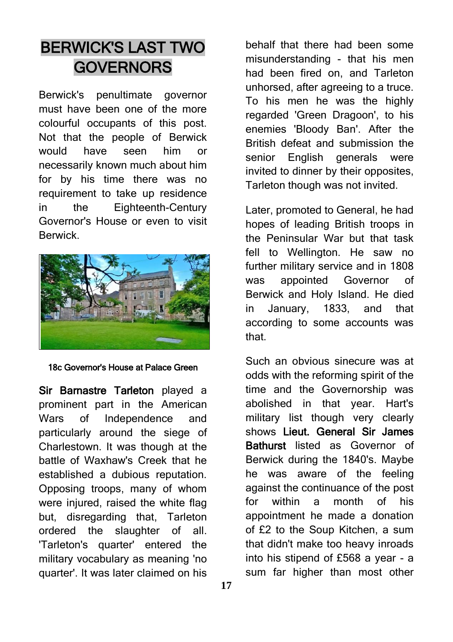## BERWICK'S LAST TWO **GOVERNORS**

Berwick's penultimate governor must have been one of the more colourful occupants of this post. Not that the people of Berwick would have seen him or necessarily known much about him for by his time there was no requirement to take up residence in the Eighteenth-Century Governor's House or even to visit **Berwick** 



18c Governor's House at Palace Green

Sir Barnastre Tarleton played a prominent part in the American Wars of Independence and particularly around the siege of Charlestown. It was though at the battle of Waxhaw's Creek that he established a dubious reputation. Opposing troops, many of whom were injured, raised the white flag but, disregarding that, Tarleton ordered the slaughter of all. 'Tarleton's quarter' entered the military vocabulary as meaning 'no quarter'. It was later claimed on his

behalf that there had been some misunderstanding - that his men had been fired on, and Tarleton unhorsed, after agreeing to a truce. To his men he was the highly regarded 'Green Dragoon', to his enemies 'Bloody Ban'. After the British defeat and submission the senior English generals were invited to dinner by their opposites, Tarleton though was not invited.

Later, promoted to General, he had hopes of leading British troops in the Peninsular War but that task fell to Wellington. He saw no further military service and in 1808 was appointed Governor of Berwick and Holy Island. He died in January, 1833, and that according to some accounts was that.

Such an obvious sinecure was at odds with the reforming spirit of the time and the Governorship was abolished in that year. Hart's military list though very clearly shows Lieut. General Sir James Bathurst listed as Governor of Berwick during the 1840's. Maybe he was aware of the feeling against the continuance of the post for within a month of his appointment he made a donation of £2 to the Soup Kitchen, a sum that didn't make too heavy inroads into his stipend of £568 a year - a sum far higher than most other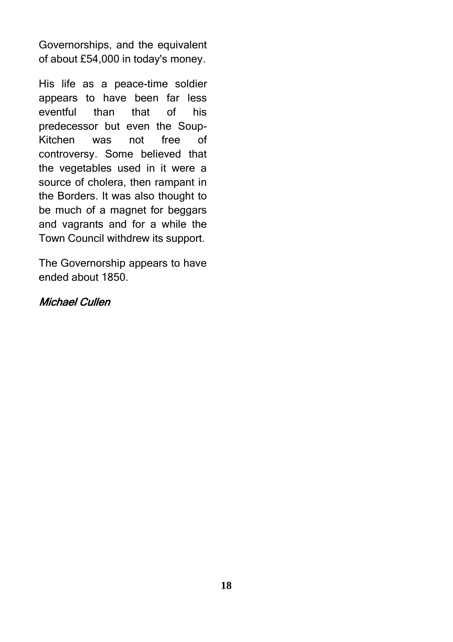Governorships, and the equivalent of about £54,000 in today's money.

His life as a peace-time soldier appears to have been far less eventful than that of his predecessor but even the Soup-Kitchen was not free of controversy. Some believed that the vegetables used in it were a source of cholera, then rampant in the Borders. It was also thought to be much of a magnet for beggars and vagrants and for a while the Town Council withdrew its support.

The Governorship appears to have ended about 1850.

#### Michael Cullen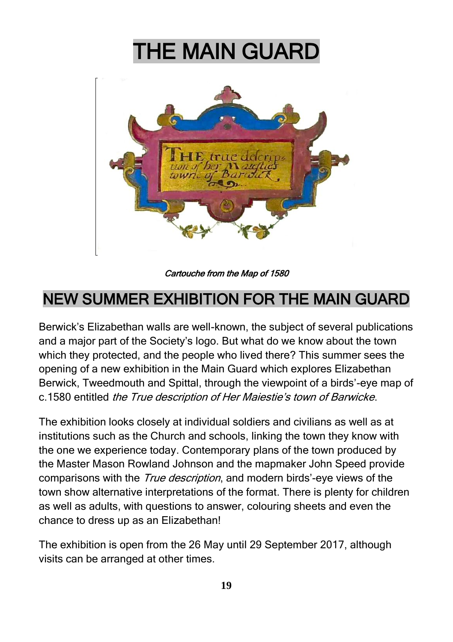# THE MAIN GUARD



Cartouche from the Map of 1580

## NEW SUMMER EXHIBITION FOR THE MAIN GUARD

Berwick's Elizabethan walls are well-known, the subject of several publications and a major part of the Society's logo. But what do we know about the town which they protected, and the people who lived there? This summer sees the opening of a new exhibition in the Main Guard which explores Elizabethan Berwick, Tweedmouth and Spittal, through the viewpoint of a birds'-eye map of c.1580 entitled the True description of Her Maiestie's town of Barwicke.

The exhibition looks closely at individual soldiers and civilians as well as at institutions such as the Church and schools, linking the town they know with the one we experience today. Contemporary plans of the town produced by the Master Mason Rowland Johnson and the mapmaker John Speed provide comparisons with the *True description*, and modern birds'-eye views of the town show alternative interpretations of the format. There is plenty for children as well as adults, with questions to answer, colouring sheets and even the chance to dress up as an Elizabethan!

The exhibition is open from the 26 May until 29 September 2017, although visits can be arranged at other times.